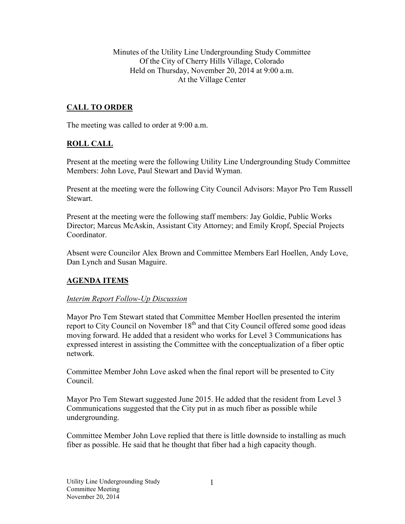Minutes of the Utility Line Undergrounding Study Committee Of the City of Cherry Hills Village, Colorado Held on Thursday, November 20, 2014 at 9:00 a.m. At the Village Center

# **CALL TO ORDER**

The meeting was called to order at 9:00 a.m.

## **ROLL CALL**

Present at the meeting were the following Utility Line Undergrounding Study Committee Members: John Love, Paul Stewart and David Wyman.

Present at the meeting were the following City Council Advisors: Mayor Pro Tem Russell **Stewart** 

Present at the meeting were the following staff members: Jay Goldie, Public Works Director; Marcus McAskin, Assistant City Attorney; and Emily Kropf, Special Projects Coordinator.

Absent were Councilor Alex Brown and Committee Members Earl Hoellen, Andy Love, Dan Lynch and Susan Maguire.

## **AGENDA ITEMS**

#### *Interim Report Follow-Up Discussion*

Mayor Pro Tem Stewart stated that Committee Member Hoellen presented the interim report to City Council on November 18<sup>th</sup> and that City Council offered some good ideas moving forward. He added that a resident who works for Level 3 Communications has expressed interest in assisting the Committee with the conceptualization of a fiber optic network.

Committee Member John Love asked when the final report will be presented to City Council.

Mayor Pro Tem Stewart suggested June 2015. He added that the resident from Level 3 Communications suggested that the City put in as much fiber as possible while undergrounding.

Committee Member John Love replied that there is little downside to installing as much fiber as possible. He said that he thought that fiber had a high capacity though.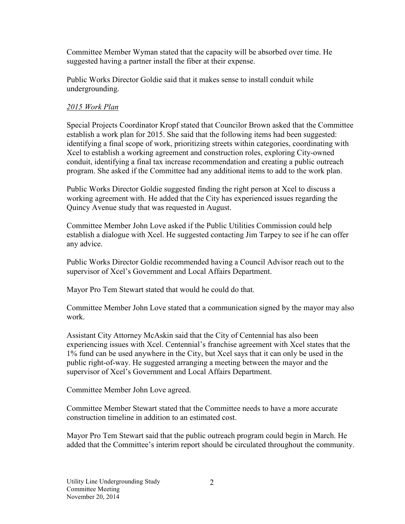Committee Member Wyman stated that the capacity will be absorbed over time. He suggested having a partner install the fiber at their expense.

Public Works Director Goldie said that it makes sense to install conduit while undergrounding.

## *2015 Work Plan*

Special Projects Coordinator Kropf stated that Councilor Brown asked that the Committee establish a work plan for 2015. She said that the following items had been suggested: identifying a final scope of work, prioritizing streets within categories, coordinating with Xcel to establish a working agreement and construction roles, exploring City-owned conduit, identifying a final tax increase recommendation and creating a public outreach program. She asked if the Committee had any additional items to add to the work plan.

Public Works Director Goldie suggested finding the right person at Xcel to discuss a working agreement with. He added that the City has experienced issues regarding the Quincy Avenue study that was requested in August.

Committee Member John Love asked if the Public Utilities Commission could help establish a dialogue with Xcel. He suggested contacting Jim Tarpey to see if he can offer any advice.

Public Works Director Goldie recommended having a Council Advisor reach out to the supervisor of Xcel's Government and Local Affairs Department.

Mayor Pro Tem Stewart stated that would he could do that.

Committee Member John Love stated that a communication signed by the mayor may also work.

Assistant City Attorney McAskin said that the City of Centennial has also been experiencing issues with Xcel. Centennial's franchise agreement with Xcel states that the 1% fund can be used anywhere in the City, but Xcel says that it can only be used in the public right-of-way. He suggested arranging a meeting between the mayor and the supervisor of Xcel's Government and Local Affairs Department.

Committee Member John Love agreed.

Committee Member Stewart stated that the Committee needs to have a more accurate construction timeline in addition to an estimated cost.

Mayor Pro Tem Stewart said that the public outreach program could begin in March. He added that the Committee's interim report should be circulated throughout the community.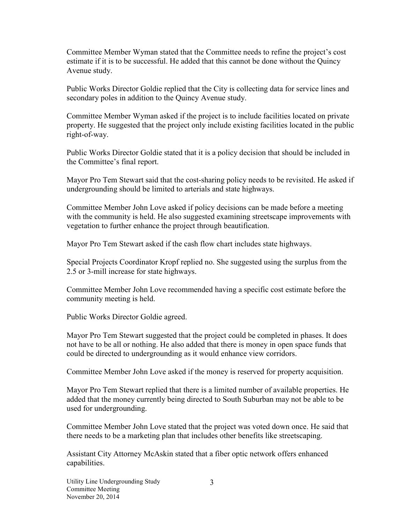Committee Member Wyman stated that the Committee needs to refine the project's cost estimate if it is to be successful. He added that this cannot be done without the Quincy Avenue study.

Public Works Director Goldie replied that the City is collecting data for service lines and secondary poles in addition to the Quincy Avenue study.

Committee Member Wyman asked if the project is to include facilities located on private property. He suggested that the project only include existing facilities located in the public right-of-way.

Public Works Director Goldie stated that it is a policy decision that should be included in the Committee's final report.

Mayor Pro Tem Stewart said that the cost-sharing policy needs to be revisited. He asked if undergrounding should be limited to arterials and state highways.

Committee Member John Love asked if policy decisions can be made before a meeting with the community is held. He also suggested examining streetscape improvements with vegetation to further enhance the project through beautification.

Mayor Pro Tem Stewart asked if the cash flow chart includes state highways.

Special Projects Coordinator Kropf replied no. She suggested using the surplus from the 2.5 or 3-mill increase for state highways.

Committee Member John Love recommended having a specific cost estimate before the community meeting is held.

Public Works Director Goldie agreed.

Mayor Pro Tem Stewart suggested that the project could be completed in phases. It does not have to be all or nothing. He also added that there is money in open space funds that could be directed to undergrounding as it would enhance view corridors.

Committee Member John Love asked if the money is reserved for property acquisition.

Mayor Pro Tem Stewart replied that there is a limited number of available properties. He added that the money currently being directed to South Suburban may not be able to be used for undergrounding.

Committee Member John Love stated that the project was voted down once. He said that there needs to be a marketing plan that includes other benefits like streetscaping.

Assistant City Attorney McAskin stated that a fiber optic network offers enhanced capabilities.

Utility Line Undergrounding Study Committee Meeting November 20, 2014